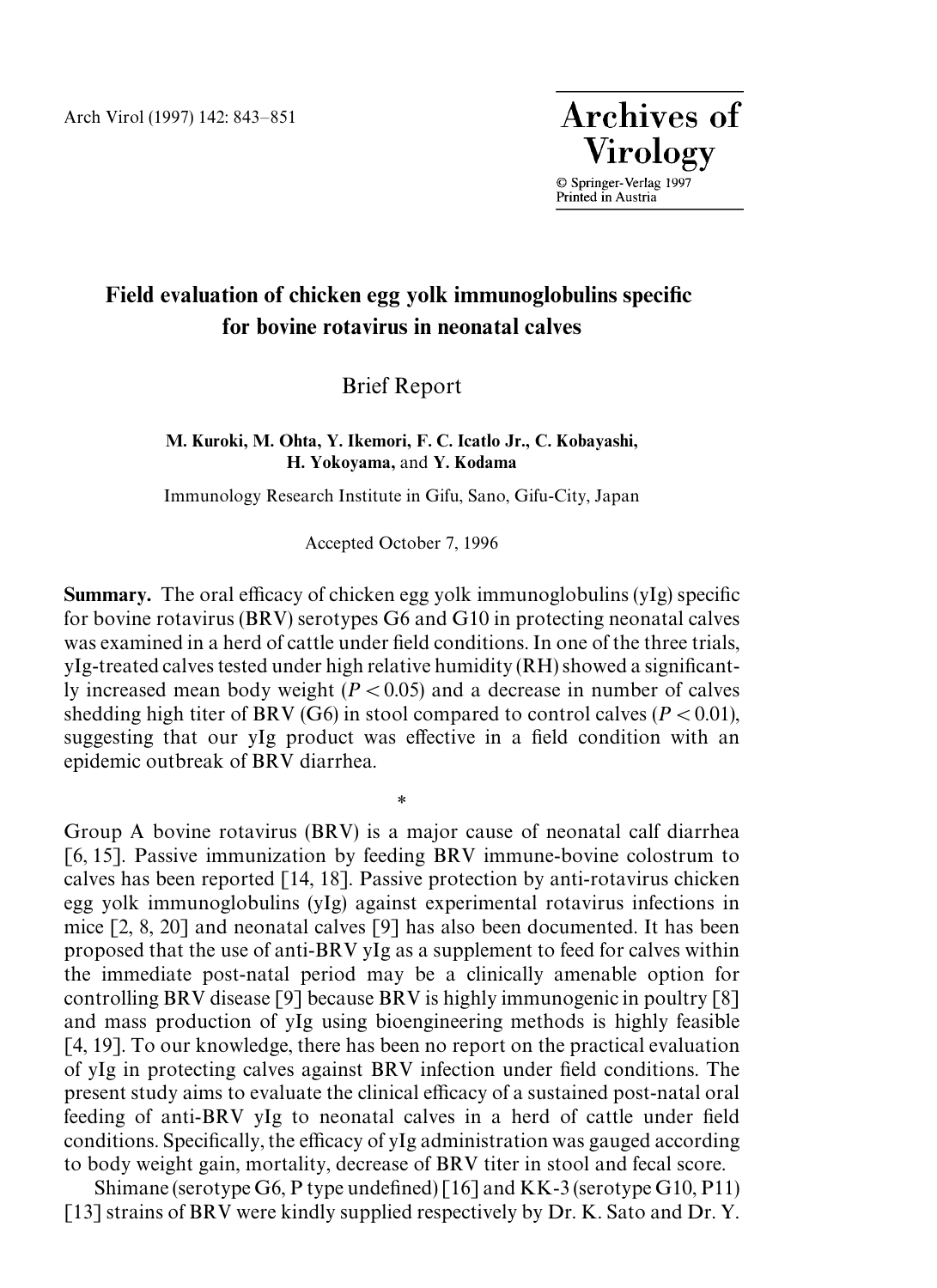**Archives of Virology** 

© Springer-Verlag 1997<br>Printed in Austria

## Field evaluation of chicken egg yolk immunoglobulins specific for bovine rotavirus in neonatal calves

Brief Report

M. Kuroki, M. Ohta, Y. Ikemori, F. C. Icatlo Jr., C. Kobayashi, H. Yokoyama, and Y. Kodama

Immunology Research Institute in Gifu, Sano, Gifu-City, Japan

Accepted October 7, 1996

Summary. The oral efficacy of chicken egg yolk immunoglobulins (yIg) specific for bovine rotavirus (BRV) serotypes G6 and G10 in protecting neonatal calves was examined in a herd of cattle under field conditions. In one of the three trials,  $yIg-treated$  calves tested under high relative humidity (RH) showed a significantly increased mean body weight  $(P < 0.05)$  and a decrease in number of calves shedding high titer of BRV (G6) in stool compared to control calves ( $P \le 0.01$ ), suggesting that our yIg product was effective in a field condition with an epidemic outbreak of BRV diarrhea.

\*

Group A bovine rotavirus (BRV) is a major cause of neonatal calf diarrhea [6, 15]. Passive immunization by feeding BRV immune-bovine colostrum to calves has been reported [14, 18]. Passive protection by anti-rotavirus chicken egg yolk immunoglobulins (yIg) against experimental rotavirus infections in mice [2, 8, 20] and neonatal calves [9] has also been documented. It has been proposed that the use of anti-BRV yIg as a supplement to feed for calves within the immediate post-natal period may be a clinically amenable option for controlling BRV disease [9] because BRV is highly immunogenic in poultry [8] and mass production of yIg using bioengineering methods is highly feasible [4, 19]. To our knowledge, there has been no report on the practical evaluation of yIg in protecting calves against BRV infection under field conditions. The present study aims to evaluate the clinical efficacy of a sustained post-natal oral feeding of anti-BRV yIg to neonatal calves in a herd of cattle under field conditions. Specifically, the efficacy of yIg administration was gauged according to body weight gain, mortality, decrease of BRV titer in stool and fecal score.

Shimane (serotype G6, P type undefined) [16] and KK-3 (serotype G10, P11) [13] strains of BRV were kindly supplied respectively by Dr. K. Sato and Dr. Y.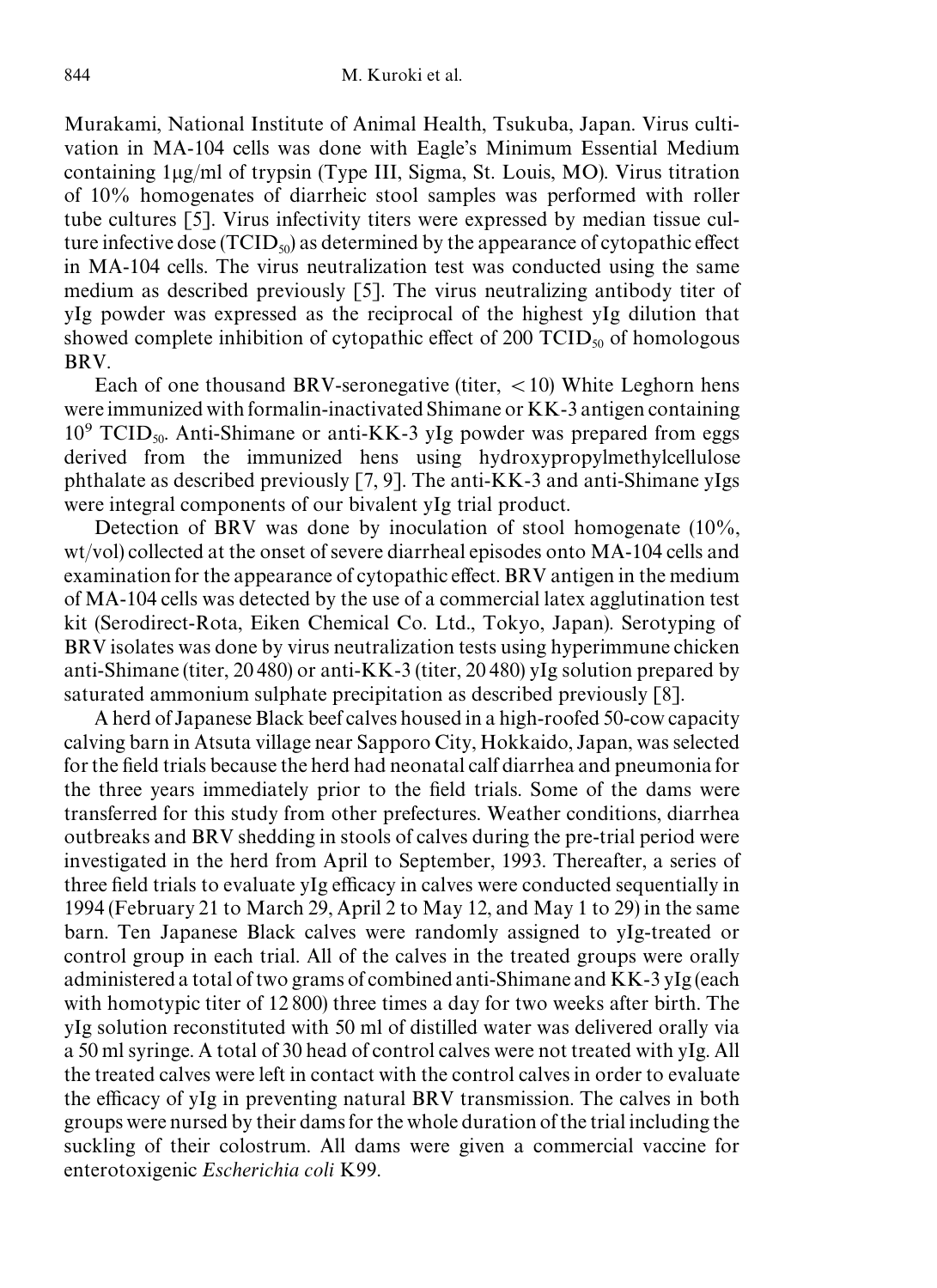Murakami, National Institute of Animal Health, Tsukuba, Japan. Virus cultivation in MA-104 cells was done with Eagle's Minimum Essential Medium containing  $1\mu g/ml$  of trypsin (Type III, Sigma, St. Louis, MO). Virus titration of 10% homogenates of diarrheic stool samples was performed with roller tube cultures [5]. Virus infectivity titers were expressed by median tissue culture infective dose  $(TCID_{50})$  as determined by the appearance of cytopathic effect in MA-104 cells. The virus neutralization test was conducted using the same medium as described previously [5]. The virus neutralizing antibody titer of yIg powder was expressed as the reciprocal of the highest yIg dilution that showed complete inhibition of cytopathic effect of 200  $\text{TCID}_{50}$  of homologous BRV.

Each of one thousand BRV-seronegative (titer,  $\langle 10 \rangle$ ) White Leghorn hens were immunized with formal in-inactivated Shimane or KK-3 antigen containing  $10^9$  TCID<sub>50</sub>. Anti-Shimane or anti-KK-3 yIg powder was prepared from eggs derived from the immunized hens using hydroxypropylmethylcellulose phthalate as described previously [7, 9]. The anti-KK-3 and anti-Shimane yIgs were integral components of our bivalent yIg trial product.

Detection of BRV was done by inoculation of stool homogenate (10%, wt/vol) collected at the onset of severe diarrheal episodes onto MA-104 cells and examination for the appearance of cytopathic effect. BRV antigen in the medium of MA-104 cells was detected by the use of a commercial latex agglutination test kit (Serodirect-Rota, Eiken Chemical Co. Ltd., Tokyo, Japan). Serotyping of BRV isolates was done by virus neutralization tests using hyperimmune chicken anti-Shimane (titer, 20480) or anti-KK-3 (titer, 20 480) yIg solution prepared by saturated ammonium sulphate precipitation as described previously [8].

A herd of Japanese Black beef calves housed in a high-roofed 50-cow capacity calving barn in Atsuta village near Sapporo City, Hokkaido, Japan, was selected for the field trials because the herd had neonatal calf diarrhea and pneumonia for the three years immediately prior to the field trials. Some of the dams were transferred for this study from other prefectures. Weather conditions, diarrhea outbreaks and BRV shedding in stools of calves during the pre-trial period were investigated in the herd from April to September, 1993. Thereafter, a series of three field trials to evaluate yIg efficacy in calves were conducted sequentially in 1994 (February 21 to March 29, April 2 to May 12, and May 1 to 29) in the same barn. Ten Japanese Black calves were randomly assigned to yIg-treated or control group in each trial. All of the calves in the treated groups were orally administered a total of two grams of combined anti-Shimane and  $KK-3yIg$  (each with homotypic titer of 12800) three times a day for two weeks after birth. The yIg solution reconstituted with 50 ml of distilled water was delivered orally via a 50 ml syringe. A total of 30 head of control calves were not treated with yIg. All the treated calves were left in contact with the control calves in order to evaluate the efficacy of yIg in preventing natural BRV transmission. The calves in both groups were nursed by their dams for the whole duration of the trial including the suckling of their colostrum. All dams were given a commercial vaccine for enterotoxigenic *Escherichia coli* K99.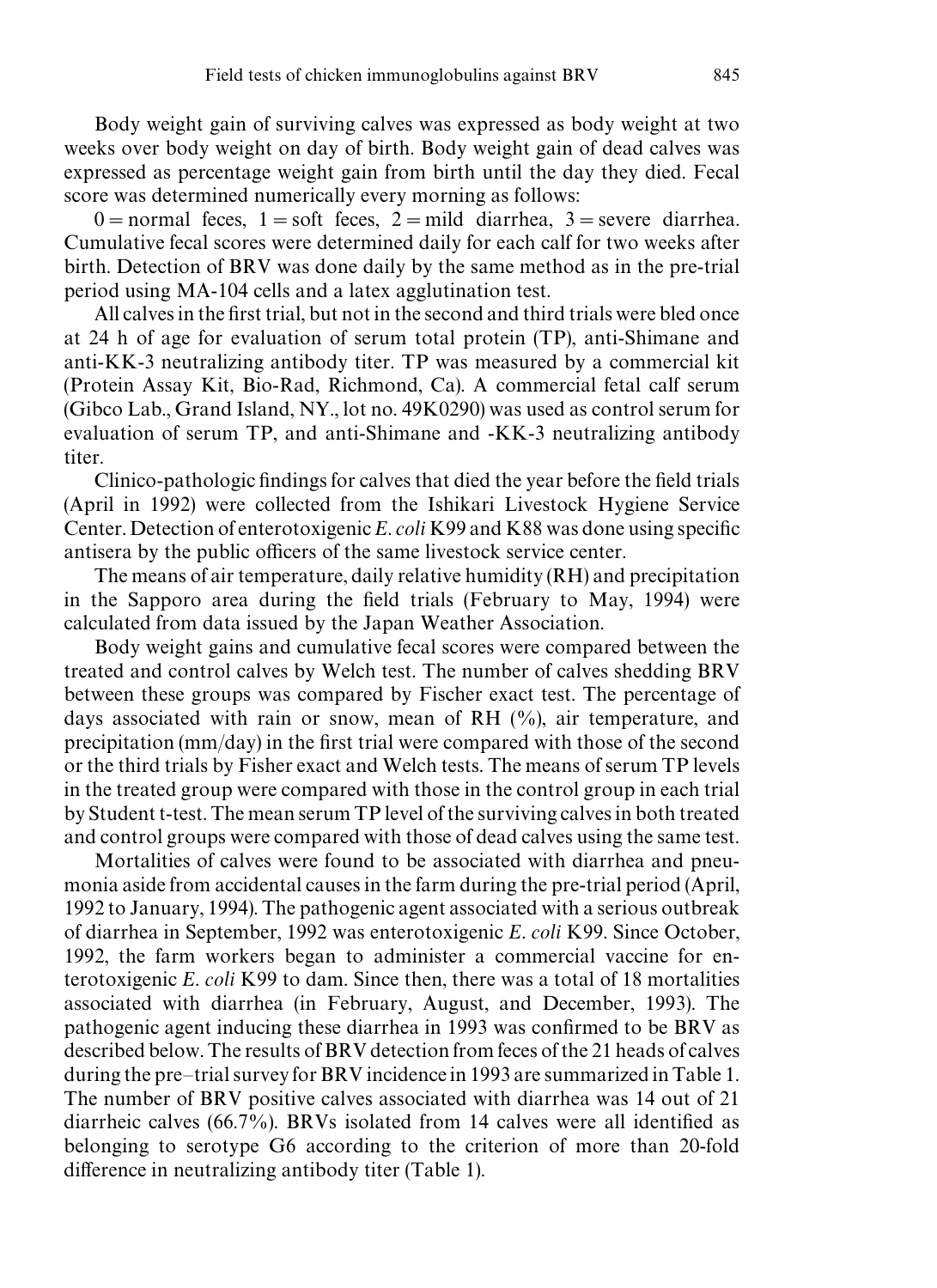Body weight gain of surviving calves was expressed as body weight at two weeks over body weight on day of birth. Body weight gain of dead calves was expressed as percentage weight gain from birth until the day they died. Fecal score was determined numerically every morning as follows:

 $0 =$ normal feces, 1 = soft feces, 2 = mild diarrhea, 3 = severe diarrhea. Cumulative fecal scores were determined daily for each calf for two weeks after birth. Detection of BRV was done daily by the same method as in the pre-trial period using MA-104 cells and a latex agglutination test.

All calves in the first trial, but not in the second and third trials were bled once at 24 h of age for evaluation of serum total protein (TP), anti-Shimane and anti-KK-3 neutralizing antibody titer. TP was measured by a commercial kit (Protein Assay Kit, Bio-Rad, Richmond, Ca). A commercial fetal calf serum (Gibco Lab., Grand Island, NY., lot no. 49K0290) was used as control serum for evaluation of serum TP, and anti-Shimane and -KK-3 neutralizing antibody titer.

Clinico-pathologic findings for calves that died the year before the field trials (April in 1992) were collected from the Ishikari Livestock Hygiene Service Center. Detection of enterotoxigenic *E. coli* K99 and K88 was done using specific antisera by the public officers of the same livestock service center.

The means of air temperature, daily relative humidity (RH) and precipitation in the Sapporo area during the field trials (February to May, 1994) were calculated from data issued by the Japan Weather Association.

Body weight gains and cumulative fecal scores were compared between the treated and control calves by Welch test. The number of calves shedding BRV between these groups was compared by Fischer exact test. The percentage of days associated with rain or snow, mean of RH (%), air temperature, and precipitation (mm/day) in the first trial were compared with those of the second or the third trials by Fisher exact and Welch tests. The means of serum TP levels in the treated group were compared with those in the control group in each trial byStudentt-test. The meanserumTPlevel of the survivingcalvesin both treated and control groups were compared with those of dead calves using the same test.

Mortalities of calves were found to be associated with diarrhea and pneumonia aside from accidental causes in the farm during the pre-trial period (April, 1992 to January, 1994). The pathogenic agent associated with a serious outbreak of diarrhea in September, 1992 was enterotoxigenic *E. coli* K99. Since October, 1992, the farm workers began to administer a commercial vaccine for enterotoxigenic *E. coli* K99 to dam. Since then, there was a total of 18 mortalities associated with diarrhea (in February, August, and December, 1993). The pathogenic agent inducing these diarrhea in 1993 was confirmed to be BRV as described below. The results of BRV detection from feces of the 21 heads of calves during the pre–trial survey for BRV incidence in 1993 are summarized in Table 1. The number of BRV positive calves associated with diarrhea was 14 out of 21 diarrheic calves (66.7%). BRVs isolated from 14 calves were all identified as belonging to serotype G6 according to the criterion of more than 20-fold difference in neutralizing antibody titer (Table 1).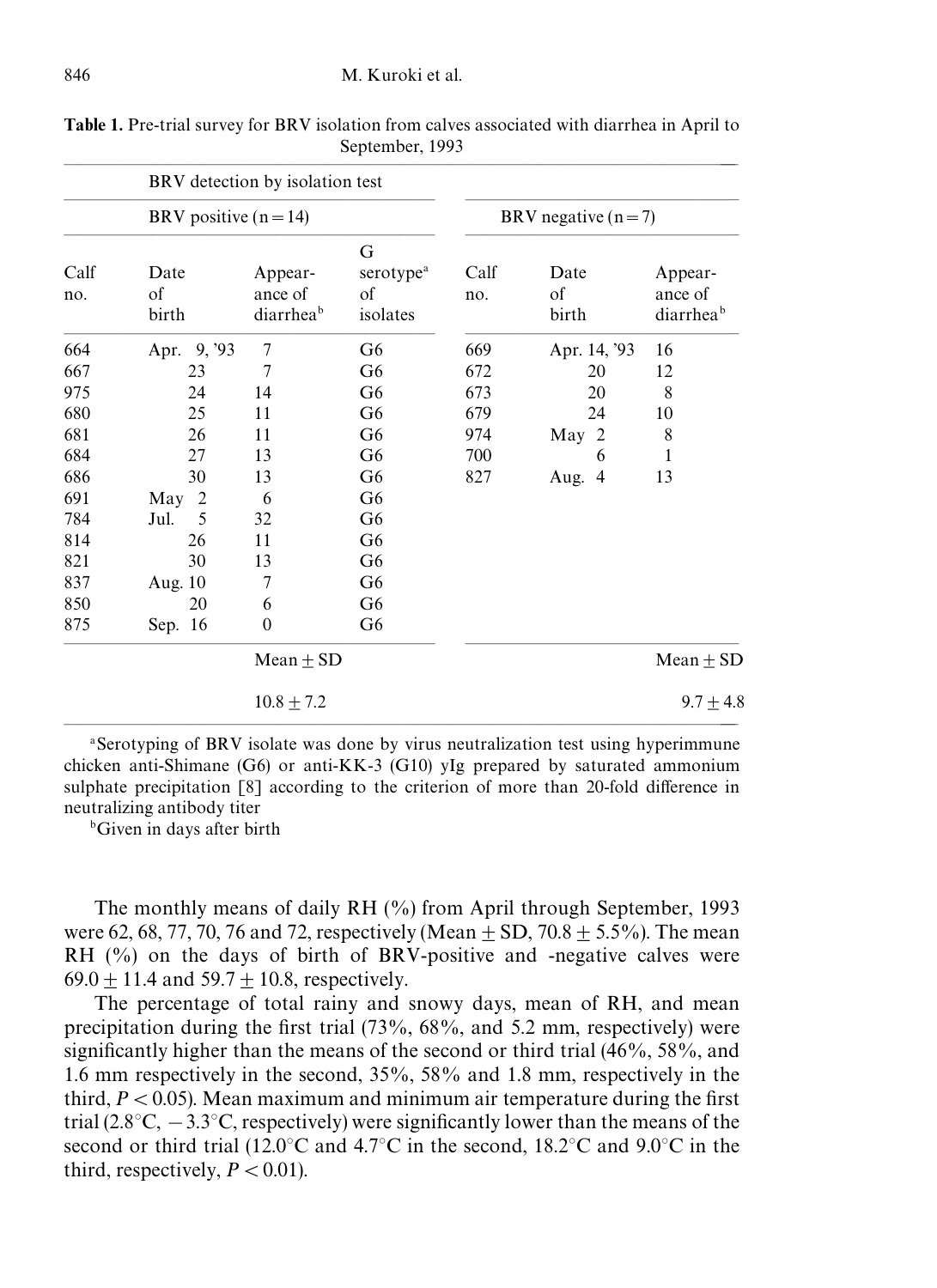|             | BRV detection by isolation test |                                 |                                              |                      |                     |                                             |  |
|-------------|---------------------------------|---------------------------------|----------------------------------------------|----------------------|---------------------|---------------------------------------------|--|
|             | BRV positive $(n=14)$           |                                 |                                              | BRV negative $(n=7)$ |                     |                                             |  |
| Calf<br>no. | Date<br>of<br>birth             | Appear-<br>ance of<br>diarrheab | G<br>serotype <sup>a</sup><br>of<br>isolates | Calf<br>no.          | Date<br>of<br>birth | Appear-<br>ance of<br>diarrhea <sup>b</sup> |  |
| 664         | Apr. 9, '93                     | $\tau$                          | G <sub>6</sub>                               | 669                  | Apr. 14, '93        | 16                                          |  |
| 667         | 23                              | 7                               | G <sub>6</sub>                               | 672                  | 20                  | 12                                          |  |
| 975         | 24                              | 14                              | G <sub>6</sub>                               | 673                  | 20                  | 8                                           |  |
| 680         | 25                              | 11                              | G <sub>6</sub>                               | 679                  | 24                  | 10                                          |  |
| 681         | 26                              | 11                              | G <sub>6</sub>                               | 974                  | 2<br>May            | $\,$ 8 $\,$                                 |  |
| 684         | 27                              | 13                              | G <sub>6</sub>                               | 700                  | 6                   | 1                                           |  |
| 686         | 30                              | 13                              | G <sub>6</sub>                               | 827                  | Aug. 4              | 13                                          |  |
| 691         | $\overline{2}$<br>May           | 6                               | G <sub>6</sub>                               |                      |                     |                                             |  |
| 784         | 5<br>Jul.                       | 32                              | G <sub>6</sub>                               |                      |                     |                                             |  |
| 814         | 26                              | 11                              | G <sub>6</sub>                               |                      |                     |                                             |  |
| 821         | 30                              | 13                              | G <sub>6</sub>                               |                      |                     |                                             |  |
| 837         | Aug. 10                         | 7                               | G <sub>6</sub>                               |                      |                     |                                             |  |
| 850         | 20                              | 6                               | G <sub>6</sub>                               |                      |                     |                                             |  |
| 875         | Sep. 16                         | $\theta$                        | G <sub>6</sub>                               |                      |                     |                                             |  |
|             | Mean $\pm$ SD                   |                                 |                                              |                      |                     | $Mean \pm SD$                               |  |
|             |                                 | $10.8 \pm 7.2$                  |                                              |                      |                     | $9.7 \pm 4.8$                               |  |

Table 1. Pre-trial survey for BRV isolation from calves associated with diarrhea in April to September, 1993

a Serotyping of BRV isolate was done by virus neutralization test using hyperimmune chicken anti-Shimane (G6) or anti-KK-3 (G10) yIg prepared by saturated ammonium sulphate precipitation [8] according to the criterion of more than 20-fold difference in neutralizing antibody titer

b Given in days after birth

The monthly means of daily RH (%) from April through September, 1993 were 62, 68, 77, 70, 76 and 72, respectively (Mean  $\pm$  SD, 70.8  $\pm$  5.5%). The mean RH  $(\%)$  on the days of birth of BRV-positive and -negative calves were 69.0  $\pm$  11.4 and 59.7  $\pm$  10.8, respectively.

The percentage of total rainy and snowy days, mean of RH, and mean precipitation during the first trial (73%, 68%, and 5.2 mm, respectively) were significantly higher than the means of the second or third trial (46%, 58%, and 1.6 mm respectively in the second, 35%, 58% and 1.8 mm, respectively in the third,  $P \lt 0.05$ ). Mean maximum and minimum air temperature during the first trial  $(2.8^{\circ}\text{C}, -3.3^{\circ}\text{C},$  respectively) were significantly lower than the means of the second or third trial (12.0°C and 4.7°C in the second, 18.2°C and 9.0°C in the third, respectively,  $P \lt 0.01$ .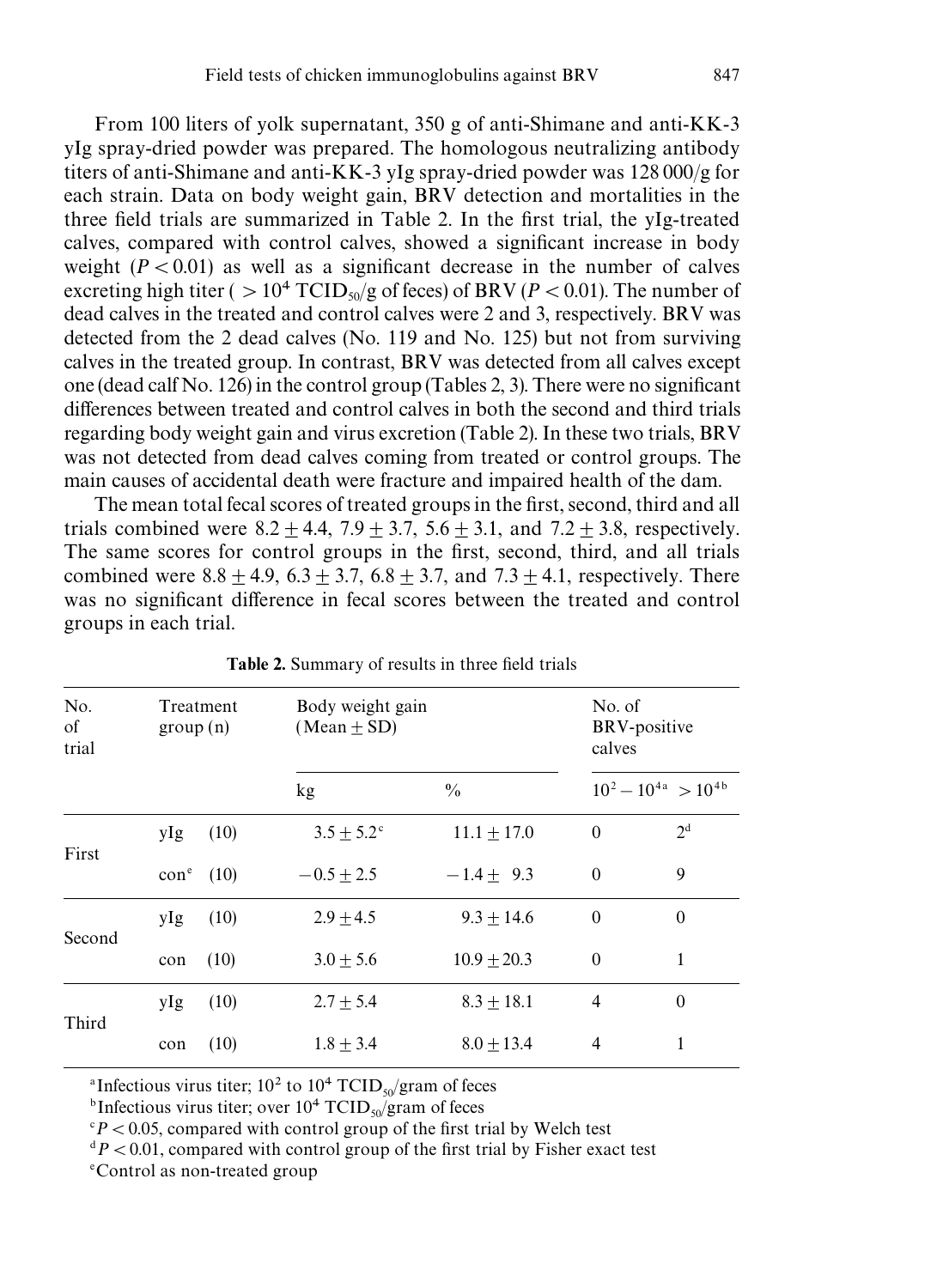From 100 liters of yolk supernatant, 350 g of anti-Shimane and anti-KK-3 yIg spray-dried powder was prepared. The homologous neutralizing antibody titers of anti-Shimane and anti-KK-3 yIg spray-dried powder was  $128000/g$  for each strain. Data on body weight gain, BRV detection and mortalities in the three field trials are summarized in Table 2. In the first trial, the yIg-treated calves, compared with control calves, showed a significant increase in body weight  $(P < 0.01)$  as well as a significant decrease in the number of calves excreting high titer ( $> 10^4$  TCID<sub>50</sub>/g of feces) of BRV (*P* < 0.01). The number of dead calves in the treated and control calves were 2 and 3, respectively. BRV was detected from the 2 dead calves (No. 119 and No. 125) but not from surviving calves in the treated group. In contrast, BRV was detected from all calves except one (dead calf No. 126) in the control group (Tables 2, 3). There were no significant differences between treated and control calves in both the second and third trials regarding body weight gain and virus excretion (Table 2). In these two trials, BRV was not detected from dead calves coming from treated or control groups. The main causes of accidental death were fracture and impaired health of the dam.

The mean total fecal scores of treated groups in the first, second, third and all trials combined were  $8.2 \pm 4.4$ ,  $7.9 \pm 3.7$ ,  $5.6 \pm 3.1$ , and  $7.2 \pm 3.8$ , respectively. The same scores for control groups in the first, second, third, and all trials combined were  $8.8 \pm 4.9$ ,  $6.3 \pm 3.7$ ,  $6.8 \pm 3.7$ , and  $7.3 \pm 4.1$ , respectively. There was no significant difference in fecal scores between the treated and control groups in each trial.

| No.<br>οf<br>trial | Treatment<br>group(n) | Body weight gain<br>$(Mean \pm SD)$ | No. of<br>BRV-positive<br>calves |              |                            |
|--------------------|-----------------------|-------------------------------------|----------------------------------|--------------|----------------------------|
|                    |                       | kg                                  | $\frac{0}{0}$                    |              | $10^2 - 10^{4a} > 10^{4b}$ |
| First              | (10)<br>yIg           | $3.5 + 5.2^{\circ}$                 | $11.1 + 17.0$                    | $\mathbf{0}$ | 2 <sup>d</sup>             |
|                    | $cone$ (10)           | $-0.5 \pm 2.5$                      | $-1.4 + 9.3$                     | $\Omega$     | 9                          |
| Second             | (10)<br>yIg           | $2.9 \pm 4.5$                       | $9.3 + 14.6$                     | $\Omega$     | $\theta$                   |
|                    | (10)<br>con           | $3.0 \pm 5.6$                       | $10.9 \pm 20.3$                  | $\Omega$     | 1                          |
| Third              | (10)<br>yIg           | $2.7 \pm 5.4$                       | $8.3 \pm 18.1$                   | 4            | $\theta$                   |
|                    | (10)<br>con           | $1.8 \pm 3.4$                       | $8.0 \pm 13.4$                   | 4            | 1                          |

Table 2. Summary of results in three field trials

<sup>a</sup>Infectious virus titer;  $10^2$  to  $10^4$  TCID<sub>50</sub>/gram of feces

<sup>b</sup>Infectious virus titer; over  $10^4$  TCID<sub>50</sub>/gram of feces

 $dP$  < 0.01, compared with control group of the first trial by Fisher exact test

e Control as non-treated group

 $P$  < 0.05, compared with control group of the first trial by Welch test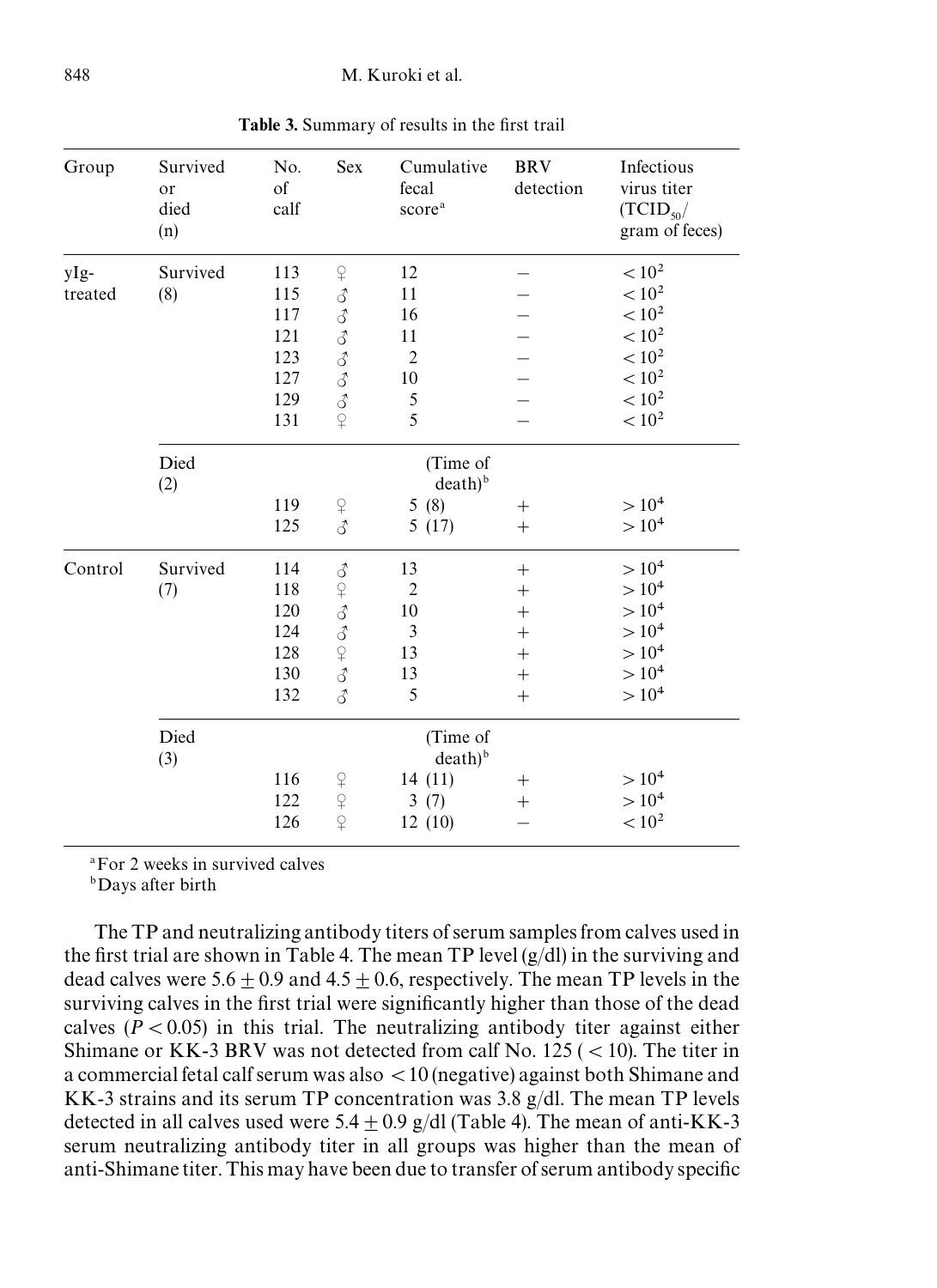| Group   | Survived<br>or<br>died<br>(n) | No.<br>of<br>calf                 | Sex                         | Cumulative<br>fecal<br>score <sup>a</sup> | <b>BRV</b><br>detection | Infectious<br>virus titer<br>$(TCID_{50}/$<br>gram of feces) |  |
|---------|-------------------------------|-----------------------------------|-----------------------------|-------------------------------------------|-------------------------|--------------------------------------------------------------|--|
| yIg-    | Survived                      | 113                               | $\operatorname{\mathsf{P}}$ | 12                                        |                         | $< 10^{2}$                                                   |  |
| treated | (8)                           | 115                               |                             | 11                                        |                         | < 10 <sup>2</sup>                                            |  |
|         |                               | 117                               |                             | 16                                        |                         | $< 10^2$                                                     |  |
|         |                               | 121                               | ふるるるる                       | 11                                        |                         | $< 10^2$                                                     |  |
|         |                               | 123                               |                             | $\overline{2}$                            |                         | $< 10^2\,$                                                   |  |
|         |                               | 127                               |                             | 10                                        |                         | $< 10^{2}$                                                   |  |
|         |                               | 129                               | $\vec{\delta}$              | 5                                         |                         | $< 10^{2}$                                                   |  |
|         |                               | 131                               | $\overline{P}$              | 5                                         |                         | $< 10^2\,$                                                   |  |
|         | Died<br>(2)                   | (Time of<br>$death)$ <sup>b</sup> |                             |                                           |                         |                                                              |  |
|         |                               | 119                               | $\operatorname{\mathsf{P}}$ | 5(8)                                      | $^{+}$                  | $> 10^4$                                                     |  |
|         |                               | 125                               | 3                           | 5(17)                                     | $^{+}$                  | $> 10^4$                                                     |  |
| Control | Survived                      | 114                               | $\vec{\mathcal{S}}$         | 13                                        | $^{+}$                  | $> 10^4$                                                     |  |
|         | (7)                           | 118                               |                             | $\overline{2}$                            | $^{+}$                  | $> 10^4$                                                     |  |
|         |                               | 120                               | 949949                      | 10                                        | $^{+}$                  | $> 10^{4}$                                                   |  |
|         |                               | 124                               |                             | 3                                         | $^{+}$                  | $> 10^4$                                                     |  |
|         |                               | 128                               |                             | 13                                        | $^{+}$                  | $> 10^{4}$                                                   |  |
|         |                               | 130                               |                             | 13                                        | $^{+}$                  | $> 10^{4}$                                                   |  |
|         |                               | 132                               | 3                           | 5                                         | $\ddot{}$               | $> 10^4$                                                     |  |
|         | Died<br>(3)                   | (Time of<br>$death)$ <sup>b</sup> |                             |                                           |                         |                                                              |  |
|         |                               | 116                               |                             | 14(11)                                    | $^{+}$                  | $> 10^4$                                                     |  |
|         |                               | 122                               | $240 + 24$                  | 3(7)                                      | $^{+}$                  | $> 10^{4}$                                                   |  |
|         |                               | 126                               |                             | 12(10)                                    |                         | $< 10^{2}$                                                   |  |

Table 3. Summary of results in the first trail

a For 2 weeks in survived calves

bDays after birth

The TP and neutralizing antibody titers of serum samples from calves used in the first trial are shown in Table 4. The mean TP level  $(g/d)$  in the surviving and dead calves were 5.6  $\pm$  0.9 and 4.5  $\pm$  0.6, respectively. The mean TP levels in the surviving calves in the first trial were significantly higher than those of the dead calves  $(P \lt 0.05)$  in this trial. The neutralizing antibody titer against either Shimane or KK-3 BRV was not detected from calf No.  $125$  ( $\lt$  10). The titer in a commercial fetal calf serum was also \10 (negative) against both Shimane and KK-3 strains and its serum TP concentration was  $3.8 \text{ g/dl}$ . The mean TP levels detected in all calves used were  $5.4 + 0.9$  g/dl (Table 4). The mean of anti-KK-3 serum neutralizing antibody titer in all groups was higher than the mean of anti-Shimane titer. This may have been due to transfer of serum antibody specific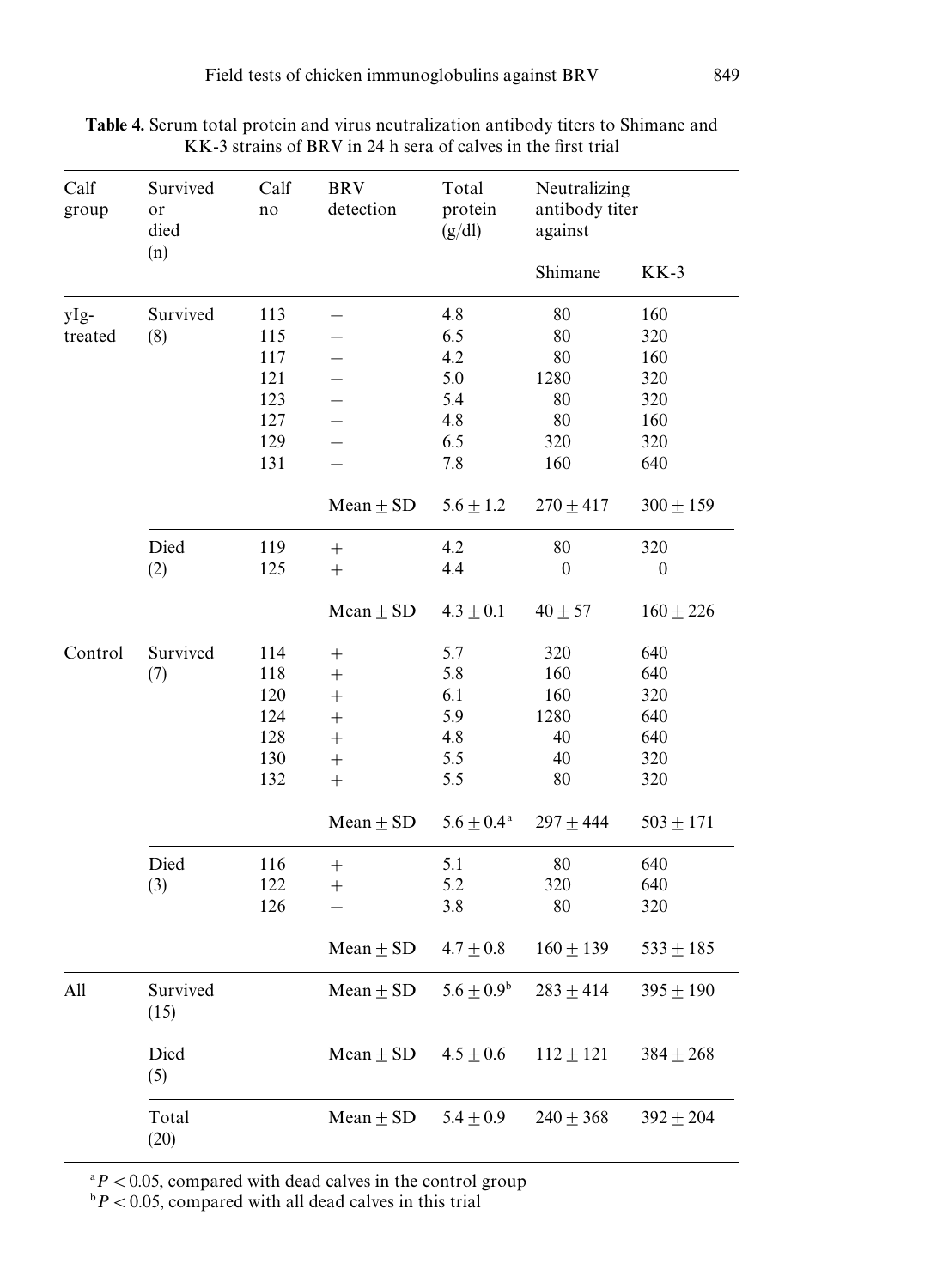| Calf<br>group | Survived<br>or<br>died | Calf<br>no | <b>BRV</b><br>detection  | Total<br>protein<br>(g/dl) | Neutralizing<br>antibody titer<br>against |                  |
|---------------|------------------------|------------|--------------------------|----------------------------|-------------------------------------------|------------------|
|               | (n)                    |            |                          |                            | Shimane                                   | $KK-3$           |
| yIg-          | Survived               | 113        |                          | 4.8                        | 80                                        | 160              |
| treated       | (8)                    | 115        |                          | 6.5                        | 80                                        | 320              |
|               |                        | 117        |                          | 4.2                        | 80                                        | 160              |
|               |                        | 121        |                          | 5.0                        | 1280                                      | 320              |
|               |                        | 123        | $\overline{\phantom{0}}$ | 5.4                        | 80                                        | 320              |
|               |                        | 127        | $\overline{\phantom{0}}$ | 4.8                        | 80                                        | 160              |
|               |                        | 129        | $\overline{\phantom{0}}$ | 6.5                        | 320                                       | 320              |
|               |                        | 131        | $\overline{\phantom{0}}$ | 7.8                        | 160                                       | 640              |
|               |                        |            | Mean $\pm$ SD            | $5.6 \pm 1.2$              | $270\pm417$                               | $300 \pm 159$    |
|               | Died                   | 119        | $^{+}$                   | 4.2                        | $80\,$                                    | 320              |
|               | (2)                    | 125        | $^{+}$                   | 4.4                        | $\mathbf{0}$                              | $\boldsymbol{0}$ |
|               |                        |            | $Mean \pm SD$            | $4.3 \pm 0.1$              | $40 \pm 57$                               | $160 \pm 226$    |
| Control       | Survived               | 114        | $^{+}$                   | 5.7                        | 320                                       | 640              |
|               | (7)                    | 118        | $^{+}$                   | 5.8                        | 160                                       | 640              |
|               |                        | 120        | $^{+}$                   | 6.1                        | 160                                       | 320              |
|               |                        | 124        | $^{+}$                   | 5.9                        | 1280                                      | 640              |
|               |                        | 128        | $^{+}$                   | 4.8                        | 40                                        | 640              |
|               |                        | 130        | $^{+}$                   | 5.5                        | 40                                        | 320              |
|               |                        | 132        | $^{+}$                   | 5.5                        | 80                                        | 320              |
|               |                        |            | Mean $\pm$ SD            | $5.6 \pm 0.4^{\text{a}}$   | $297 + 444$                               | $503 \pm 171$    |
|               | Died                   | 116        | $^{+}$                   | 5.1                        | 80                                        | 640              |
|               | (3)                    | 122        | $^{+}$                   | 5.2                        | 320                                       | 640              |
|               |                        | 126        |                          | 3.8                        | 80                                        | 320              |
|               |                        |            | $Mean \pm SD$            | $4.7 \pm 0.8$              | $160 + 139$                               | $533 \pm 185$    |
| All           | Survived<br>(15)       |            | Mean $\pm$ SD            | $5.6 \pm 0.9^{\rm b}$      | $283 \pm 414$                             | $395 \pm 190$    |
|               | Died<br>(5)            |            | Mean $\pm$ SD            | $4.5 \pm 0.6$              | $112 \pm 121$                             | $384 \pm 268$    |
|               | Total<br>(20)          |            | Mean $\pm$ SD            | $5.4 \pm 0.9$              | $240 \pm 368$                             | $392 \pm 204$    |

Table 4. Serum total protein and virus neutralization antibody titers to Shimane and KK-3 strains of BRV in 24 h sera of calves in the first trial

 $\alpha$ <sup>2</sup> $P$  < 0.05, compared with dead calves in the control group

 $\Delta^b P < 0.05$ , compared with all dead calves in this trial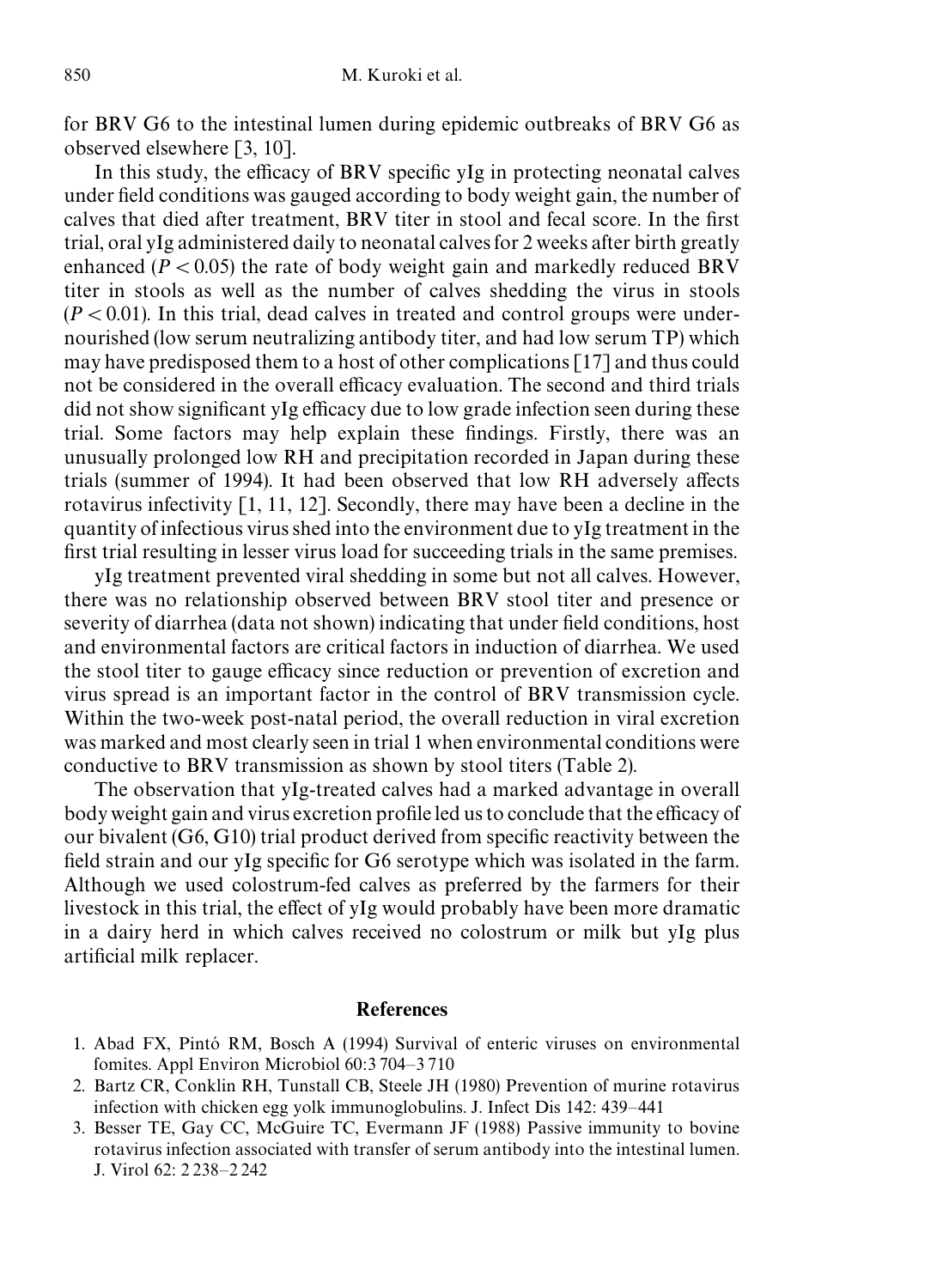for BRV G6 to the intestinal lumen during epidemic outbreaks of BRV G6 as observed elsewhere [3, 10].

In this study, the efficacy of BRV specific yIg in protecting neonatal calves under field conditions was gauged according to body weight gain, the number of calves that died after treatment, BRV titer in stool and fecal score. In the first trial, oral yIg administereddaily to neonatal calves for 2 weeks after birth greatly enhanced ( $P \lt 0.05$ ) the rate of body weight gain and markedly reduced BRV titer in stools as well as the number of calves shedding the virus in stools  $(P\lt 0.01)$ . In this trial, dead calves in treated and control groups were undernourished (low serum neutralizing antibody titer, and had low serum TP) which may have predisposed them to a host of other complications[17] and thus could not be considered in the overall efficacy evaluation. The second and third trials did not show significant yIg efficacy due to low grade infection seen during these trial. Some factors may help explain these findings. Firstly, there was an unusually prolonged low RH and precipitation recorded in Japan during these trials (summer of 1994). It had been observed that low RH adversely affects rotavirus infectivity  $\lceil 1, 11, 12 \rceil$ . Secondly, there may have been a decline in the quantityof infectious virus shed into the environmentdue to yIg treatmentin the first trial resulting in lesser virus load for succeeding trials in the same premises.

yIg treatment prevented viral shedding in some but not all calves. However, there was no relationship observed between BRV stool titer and presence or severity of diarrhea (data not shown) indicating that under field conditions, host and environmental factors are critical factors in induction of diarrhea. We used the stool titer to gauge efficacy since reduction or prevention of excretion and virus spread is an important factor in the control of BRV transmission cycle. Within the two-week post-natal period, the overall reduction in viral excretion was marked and most clearly seen in trial 1 when environmental conditionswere conductive to BRV transmission as shown by stool titers (Table 2).

The observation that yIg-treated calves had a marked advantage in overall body weight gain and virus excretion profile led us to conclude that the efficacy of our bivalent (G6, G10) trial product derived from specific reactivity between the field strain and our yIg specific for G6 serotype which was isolated in the farm. Although we used colostrum-fed calves as preferred by the farmers for their livestock in this trial, the effect of yIg would probably have been more dramatic in a dairy herd in which calves received no colostrum or milk but yIg plus artificial milk replacer.

## References

- 1. Abad FX, Pintó RM, Bosch A (1994) Survival of enteric viruses on environmental fomites. Appl Environ Microbiol 60:3 704*—*3 710
- 2. Bartz CR, Conklin RH, Tunstall CB, Steele JH (1980) Prevention of murine rotavirus infection with chicken egg yolk immunoglobulins. J. Infect Dis 142: 439*—*441
- 3. Besser TE, Gay CC, McGuire TC, Evermann JF (1988) Passive immunity to bovine rotavirus infection associated with transfer of serum antibody into the intestinal lumen. J. Virol 62: 2 238*—*2 242